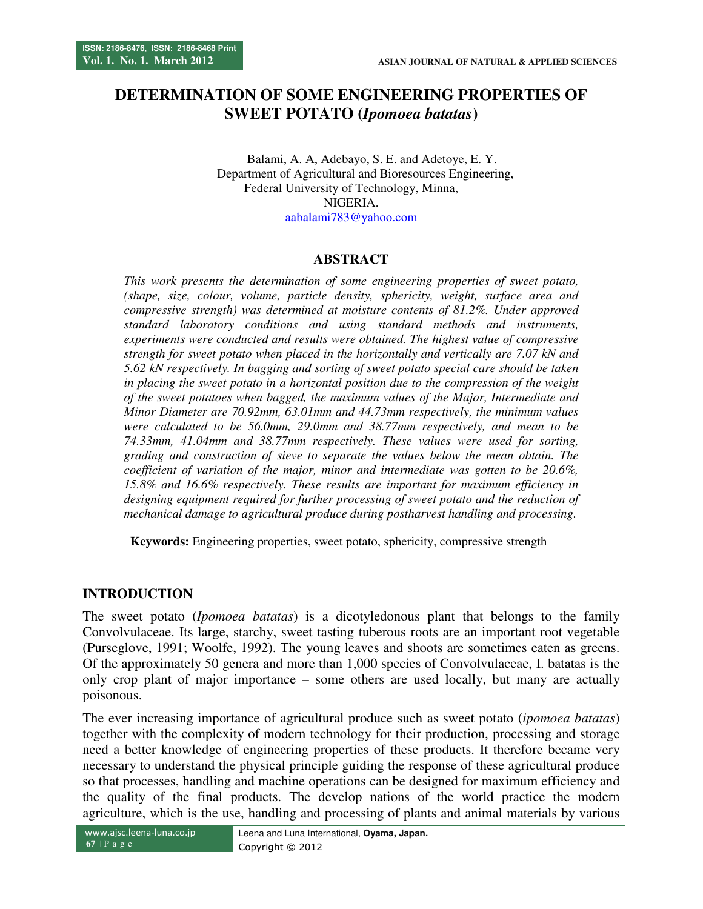# **DETERMINATION OF SOME ENGINEERING PROPERTIES OF SWEET POTATO (***Ipomoea batatas***)**

Balami, A. A, Adebayo, S. E. and Adetoye, E. Y. Department of Agricultural and Bioresources Engineering, Federal University of Technology, Minna, NIGERIA. aabalami783@yahoo.com

# **ABSTRACT**

*This work presents the determination of some engineering properties of sweet potato, (shape, size, colour, volume, particle density, sphericity, weight, surface area and compressive strength) was determined at moisture contents of 81.2%. Under approved standard laboratory conditions and using standard methods and instruments, experiments were conducted and results were obtained. The highest value of compressive strength for sweet potato when placed in the horizontally and vertically are 7.07 kN and 5.62 kN respectively. In bagging and sorting of sweet potato special care should be taken in placing the sweet potato in a horizontal position due to the compression of the weight of the sweet potatoes when bagged, the maximum values of the Major, Intermediate and Minor Diameter are 70.92mm, 63.01mm and 44.73mm respectively, the minimum values were calculated to be 56.0mm, 29.0mm and 38.77mm respectively, and mean to be 74.33mm, 41.04mm and 38.77mm respectively. These values were used for sorting, grading and construction of sieve to separate the values below the mean obtain. The coefficient of variation of the major, minor and intermediate was gotten to be 20.6%, 15.8% and 16.6% respectively. These results are important for maximum efficiency in designing equipment required for further processing of sweet potato and the reduction of mechanical damage to agricultural produce during postharvest handling and processing.* 

**Keywords:** Engineering properties, sweet potato, sphericity, compressive strength

# **INTRODUCTION**

The sweet potato (*Ipomoea batatas*) is a dicotyledonous plant that belongs to the family Convolvulaceae. Its large, starchy, sweet tasting tuberous roots are an important root vegetable (Purseglove, 1991; Woolfe, 1992). The young leaves and shoots are sometimes eaten as greens. Of the approximately 50 genera and more than 1,000 species of Convolvulaceae, I. batatas is the only crop plant of major importance – some others are used locally, but many are actually poisonous.

The ever increasing importance of agricultural produce such as sweet potato (*ipomoea batatas*) together with the complexity of modern technology for their production, processing and storage need a better knowledge of engineering properties of these products. It therefore became very necessary to understand the physical principle guiding the response of these agricultural produce so that processes, handling and machine operations can be designed for maximum efficiency and the quality of the final products. The develop nations of the world practice the modern agriculture, which is the use, handling and processing of plants and animal materials by various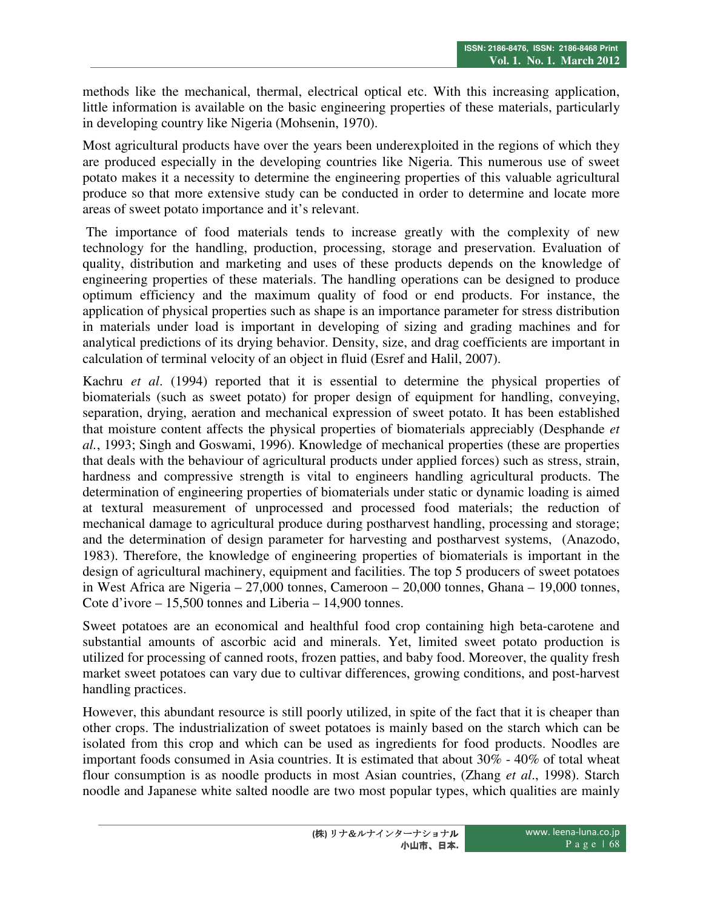methods like the mechanical, thermal, electrical optical etc. With this increasing application, little information is available on the basic engineering properties of these materials, particularly in developing country like Nigeria (Mohsenin, 1970).

Most agricultural products have over the years been underexploited in the regions of which they are produced especially in the developing countries like Nigeria. This numerous use of sweet potato makes it a necessity to determine the engineering properties of this valuable agricultural produce so that more extensive study can be conducted in order to determine and locate more areas of sweet potato importance and it's relevant.

 The importance of food materials tends to increase greatly with the complexity of new technology for the handling, production, processing, storage and preservation. Evaluation of quality, distribution and marketing and uses of these products depends on the knowledge of engineering properties of these materials. The handling operations can be designed to produce optimum efficiency and the maximum quality of food or end products. For instance, the application of physical properties such as shape is an importance parameter for stress distribution in materials under load is important in developing of sizing and grading machines and for analytical predictions of its drying behavior. Density, size, and drag coefficients are important in calculation of terminal velocity of an object in fluid (Esref and Halil, 2007).

Kachru *et al*. (1994) reported that it is essential to determine the physical properties of biomaterials (such as sweet potato) for proper design of equipment for handling, conveying, separation, drying, aeration and mechanical expression of sweet potato. It has been established that moisture content affects the physical properties of biomaterials appreciably (Desphande *et al.*, 1993; Singh and Goswami, 1996). Knowledge of mechanical properties (these are properties that deals with the behaviour of agricultural products under applied forces) such as stress, strain, hardness and compressive strength is vital to engineers handling agricultural products. The determination of engineering properties of biomaterials under static or dynamic loading is aimed at textural measurement of unprocessed and processed food materials; the reduction of mechanical damage to agricultural produce during postharvest handling, processing and storage; and the determination of design parameter for harvesting and postharvest systems, (Anazodo, 1983). Therefore, the knowledge of engineering properties of biomaterials is important in the design of agricultural machinery, equipment and facilities. The top 5 producers of sweet potatoes in West Africa are Nigeria – 27,000 tonnes, Cameroon – 20,000 tonnes, Ghana – 19,000 tonnes, Cote d'ivore – 15,500 tonnes and Liberia – 14,900 tonnes.

Sweet potatoes are an economical and healthful food crop containing high beta-carotene and substantial amounts of ascorbic acid and minerals. Yet, limited sweet potato production is utilized for processing of canned roots, frozen patties, and baby food. Moreover, the quality fresh market sweet potatoes can vary due to cultivar differences, growing conditions, and post-harvest handling practices.

However, this abundant resource is still poorly utilized, in spite of the fact that it is cheaper than other crops. The industrialization of sweet potatoes is mainly based on the starch which can be isolated from this crop and which can be used as ingredients for food products. Noodles are important foods consumed in Asia countries. It is estimated that about 30% - 40% of total wheat flour consumption is as noodle products in most Asian countries, (Zhang *et al*., 1998). Starch noodle and Japanese white salted noodle are two most popular types, which qualities are mainly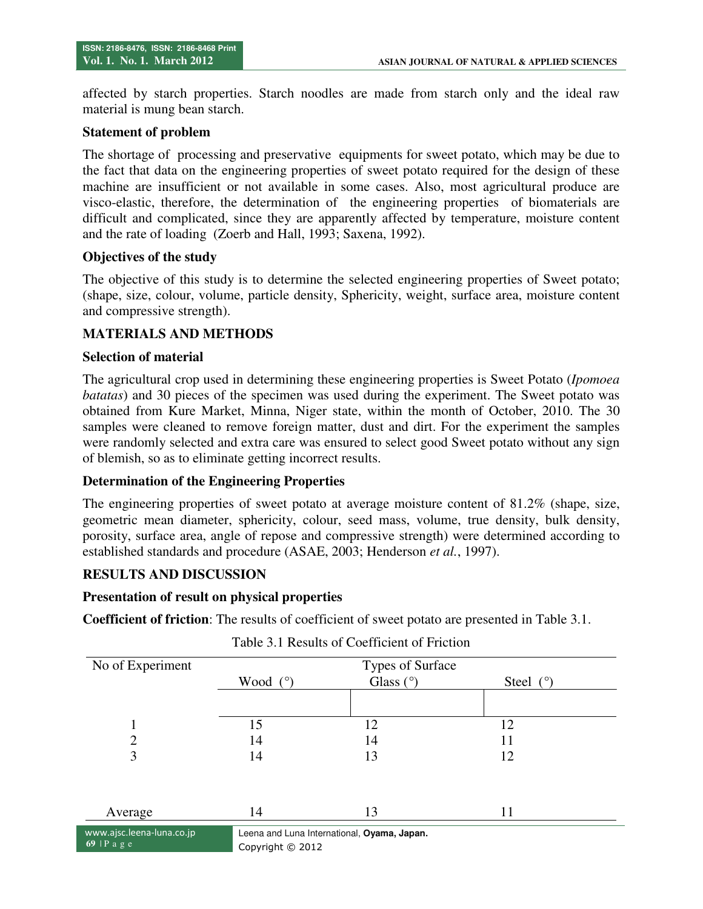affected by starch properties. Starch noodles are made from starch only and the ideal raw material is mung bean starch.

#### **Statement of problem**

The shortage of processing and preservative equipments for sweet potato, which may be due to the fact that data on the engineering properties of sweet potato required for the design of these machine are insufficient or not available in some cases. Also, most agricultural produce are visco-elastic, therefore, the determination of the engineering properties of biomaterials are difficult and complicated, since they are apparently affected by temperature, moisture content and the rate of loading (Zoerb and Hall, 1993; Saxena, 1992).

### **Objectives of the study**

The objective of this study is to determine the selected engineering properties of Sweet potato; (shape, size, colour, volume, particle density, Sphericity, weight, surface area, moisture content and compressive strength).

### **MATERIALS AND METHODS**

#### **Selection of material**

The agricultural crop used in determining these engineering properties is Sweet Potato (*Ipomoea batatas*) and 30 pieces of the specimen was used during the experiment. The Sweet potato was obtained from Kure Market, Minna, Niger state, within the month of October, 2010. The 30 samples were cleaned to remove foreign matter, dust and dirt. For the experiment the samples were randomly selected and extra care was ensured to select good Sweet potato without any sign of blemish, so as to eliminate getting incorrect results.

### **Determination of the Engineering Properties**

The engineering properties of sweet potato at average moisture content of 81.2% (shape, size, geometric mean diameter, sphericity, colour, seed mass, volume, true density, bulk density, porosity, surface area, angle of repose and compressive strength) were determined according to established standards and procedure (ASAE, 2003; Henderson *et al.*, 1997).

### **RESULTS AND DISCUSSION**

#### **Presentation of result on physical properties**

**Coefficient of friction**: The results of coefficient of sweet potato are presented in Table 3.1.

| No of Experiment          |            | Types of Surface                        |             |
|---------------------------|------------|-----------------------------------------|-------------|
|                           | Wood $(°)$ | Glass $(°)$                             | Steel $(°)$ |
|                           |            |                                         |             |
|                           | 15         | 12                                      | 12          |
| $\overline{2}$            | 14         | 14                                      | 11          |
| 3                         | 14         | 13                                      | 12          |
|                           |            |                                         |             |
| Average                   | 14         | 13                                      | 11          |
| www.aisc.leena-luna.co.in |            | eena and Luna International Ovama Janan |             |

### Table 3.1 Results of Coefficient of Friction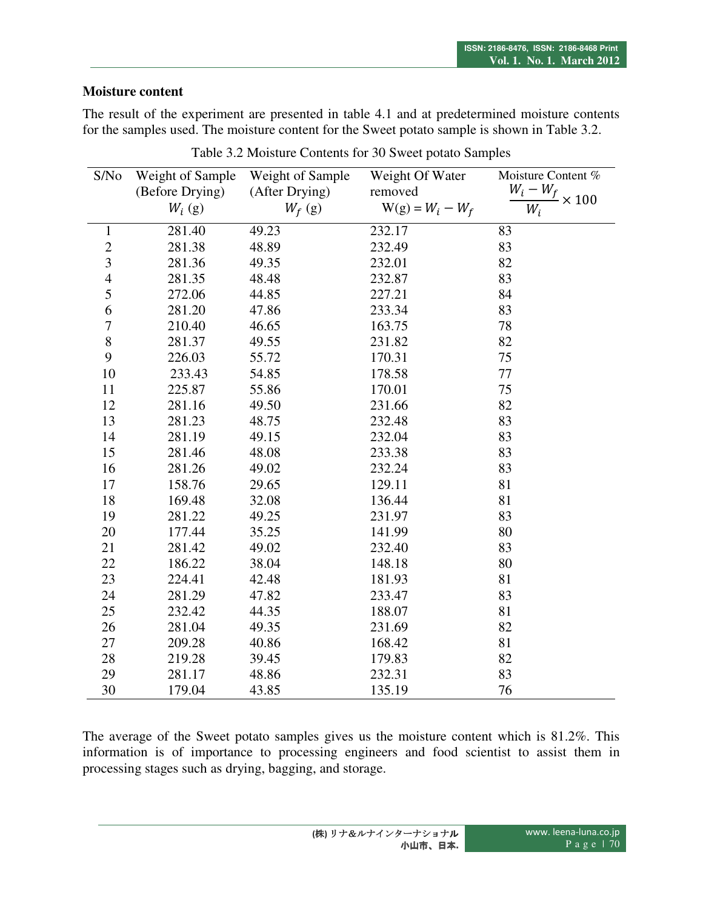### **Moisture content**

The result of the experiment are presented in table 4.1 and at predetermined moisture contents for the samples used. The moisture content for the Sweet potato sample is shown in Table 3.2.

| S/No                     | Weight of Sample | Weight of Sample | Weight Of Water    | Moisture Content %                 |
|--------------------------|------------------|------------------|--------------------|------------------------------------|
|                          | (Before Drying)  | (After Drying)   | removed            | $\frac{W_i - W_f}{W_f} \times 100$ |
|                          | $W_i$ (g)        | $W_f$ (g)        | $W(g) = W_i - W_f$ | $W_i$                              |
| $\mathbf{1}$             | 281.40           | 49.23            | 232.17             | 83                                 |
| $\overline{c}$           | 281.38           | 48.89            | 232.49             | 83                                 |
| $\overline{\mathbf{3}}$  | 281.36           | 49.35            | 232.01             | 82                                 |
| $\overline{\mathcal{L}}$ | 281.35           | 48.48            | 232.87             | 83                                 |
| 5                        | 272.06           | 44.85            | 227.21             | 84                                 |
| 6                        | 281.20           | 47.86            | 233.34             | 83                                 |
| 7                        | 210.40           | 46.65            | 163.75             | 78                                 |
| $\,8$                    | 281.37           | 49.55            | 231.82             | 82                                 |
| 9                        | 226.03           | 55.72            | 170.31             | 75                                 |
| 10                       | 233.43           | 54.85            | 178.58             | 77                                 |
| 11                       | 225.87           | 55.86            | 170.01             | 75                                 |
| 12                       | 281.16           | 49.50            | 231.66             | 82                                 |
| 13                       | 281.23           | 48.75            | 232.48             | 83                                 |
| 14                       | 281.19           | 49.15            | 232.04             | 83                                 |
| 15                       | 281.46           | 48.08            | 233.38             | 83                                 |
| 16                       | 281.26           | 49.02            | 232.24             | 83                                 |
| 17                       | 158.76           | 29.65            | 129.11             | 81                                 |
| 18                       | 169.48           | 32.08            | 136.44             | 81                                 |
| 19                       | 281.22           | 49.25            | 231.97             | 83                                 |
| 20                       | 177.44           | 35.25            | 141.99             | 80                                 |
| 21                       | 281.42           | 49.02            | 232.40             | 83                                 |
| 22                       | 186.22           | 38.04            | 148.18             | 80                                 |
| 23                       | 224.41           | 42.48            | 181.93             | 81                                 |
| 24                       | 281.29           | 47.82            | 233.47             | 83                                 |
| 25                       | 232.42           | 44.35            | 188.07             | 81                                 |
| 26                       | 281.04           | 49.35            | 231.69             | 82                                 |
| 27                       | 209.28           | 40.86            | 168.42             | 81                                 |
| 28                       | 219.28           | 39.45            | 179.83             | 82                                 |
| 29                       | 281.17           | 48.86            | 232.31             | 83                                 |
| 30                       | 179.04           | 43.85            | 135.19             | 76                                 |

Table 3.2 Moisture Contents for 30 Sweet potato Samples

The average of the Sweet potato samples gives us the moisture content which is 81.2%. This information is of importance to processing engineers and food scientist to assist them in processing stages such as drying, bagging, and storage.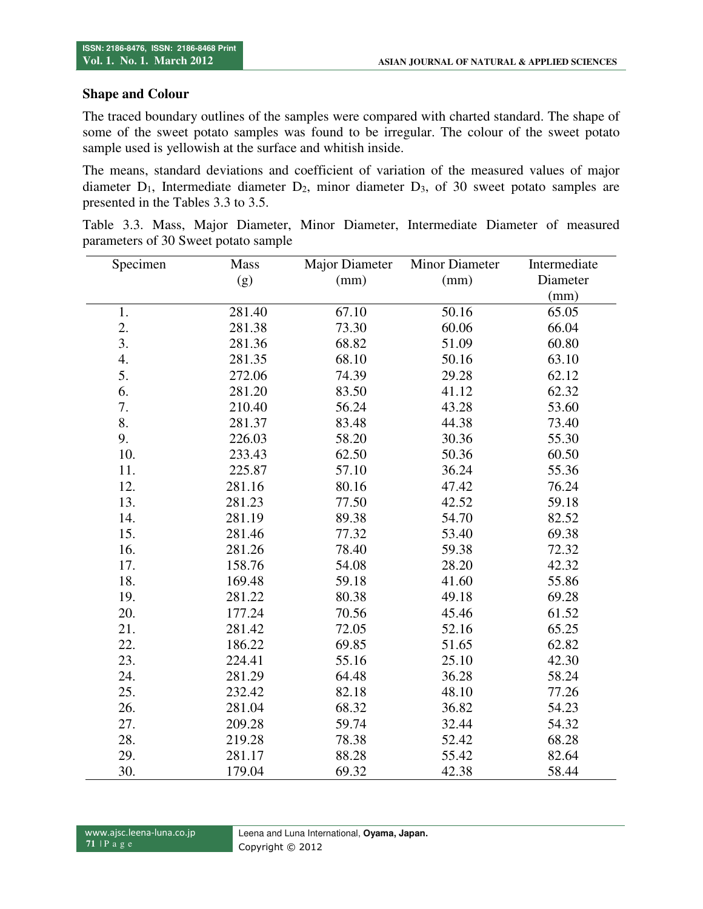### **Shape and Colour**

The traced boundary outlines of the samples were compared with charted standard. The shape of some of the sweet potato samples was found to be irregular. The colour of the sweet potato sample used is yellowish at the surface and whitish inside.

The means, standard deviations and coefficient of variation of the measured values of major diameter  $D_1$ , Intermediate diameter  $D_2$ , minor diameter  $D_3$ , of 30 sweet potato samples are presented in the Tables 3.3 to 3.5.

|  |  |                                      |  | Table 3.3. Mass, Major Diameter, Minor Diameter, Intermediate Diameter of measured |  |  |
|--|--|--------------------------------------|--|------------------------------------------------------------------------------------|--|--|
|  |  | parameters of 30 Sweet potato sample |  |                                                                                    |  |  |

| Specimen | <b>Mass</b> | Major Diameter | <b>Minor Diameter</b> | Intermediate |
|----------|-------------|----------------|-----------------------|--------------|
|          | (g)         | (mm)           | (mm)                  | Diameter     |
|          |             |                |                       | (mm)         |
| 1.       | 281.40      | 67.10          | 50.16                 | 65.05        |
| 2.       | 281.38      | 73.30          | 60.06                 | 66.04        |
| 3.       | 281.36      | 68.82          | 51.09                 | 60.80        |
| 4.       | 281.35      | 68.10          | 50.16                 | 63.10        |
| 5.       | 272.06      | 74.39          | 29.28                 | 62.12        |
| 6.       | 281.20      | 83.50          | 41.12                 | 62.32        |
| 7.       | 210.40      | 56.24          | 43.28                 | 53.60        |
| 8.       | 281.37      | 83.48          | 44.38                 | 73.40        |
| 9.       | 226.03      | 58.20          | 30.36                 | 55.30        |
| 10.      | 233.43      | 62.50          | 50.36                 | 60.50        |
| 11.      | 225.87      | 57.10          | 36.24                 | 55.36        |
| 12.      | 281.16      | 80.16          | 47.42                 | 76.24        |
| 13.      | 281.23      | 77.50          | 42.52                 | 59.18        |
| 14.      | 281.19      | 89.38          | 54.70                 | 82.52        |
| 15.      | 281.46      | 77.32          | 53.40                 | 69.38        |
| 16.      | 281.26      | 78.40          | 59.38                 | 72.32        |
| 17.      | 158.76      | 54.08          | 28.20                 | 42.32        |
| 18.      | 169.48      | 59.18          | 41.60                 | 55.86        |
| 19.      | 281.22      | 80.38          | 49.18                 | 69.28        |
| 20.      | 177.24      | 70.56          | 45.46                 | 61.52        |
| 21.      | 281.42      | 72.05          | 52.16                 | 65.25        |
| 22.      | 186.22      | 69.85          | 51.65                 | 62.82        |
| 23.      | 224.41      | 55.16          | 25.10                 | 42.30        |
| 24.      | 281.29      | 64.48          | 36.28                 | 58.24        |
| 25.      | 232.42      | 82.18          | 48.10                 | 77.26        |
| 26.      | 281.04      | 68.32          | 36.82                 | 54.23        |
| 27.      | 209.28      | 59.74          | 32.44                 | 54.32        |
| 28.      | 219.28      | 78.38          | 52.42                 | 68.28        |
| 29.      | 281.17      | 88.28          | 55.42                 | 82.64        |
| 30.      | 179.04      | 69.32          | 42.38                 | 58.44        |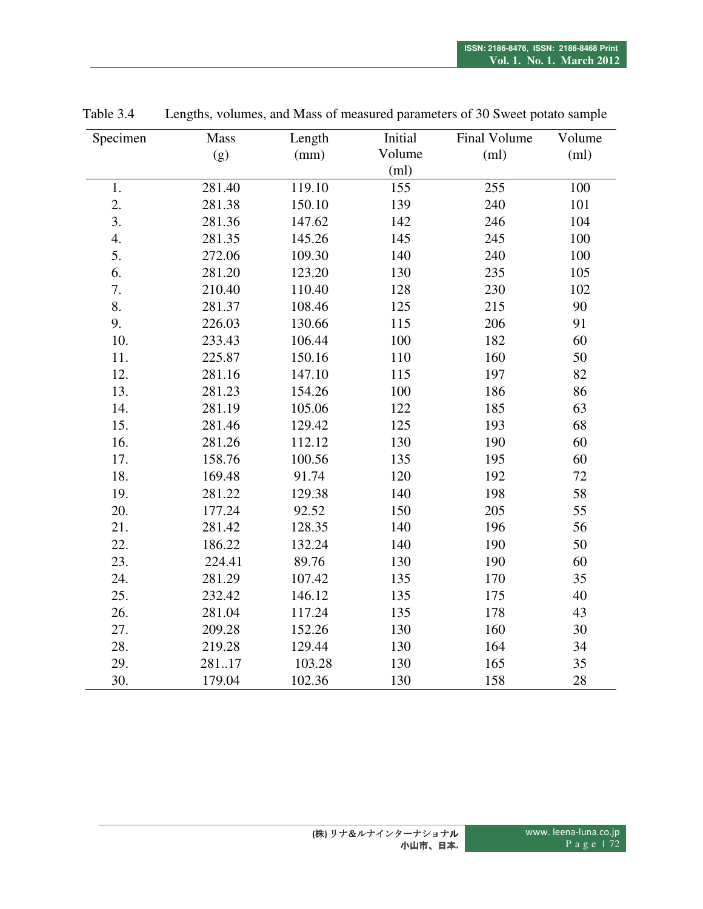| Specimen | Mass   | Length | Initial | Final Volume | Volume |
|----------|--------|--------|---------|--------------|--------|
|          | (g)    | (mm)   | Volume  | (ml)         | (ml)   |
|          |        |        | (ml)    |              |        |
| 1.       | 281.40 | 119.10 | 155     | 255          | 100    |
| 2.       | 281.38 | 150.10 | 139     | 240          | 101    |
| 3.       | 281.36 | 147.62 | 142     | 246          | 104    |
| 4.       | 281.35 | 145.26 | 145     | 245          | 100    |
| 5.       | 272.06 | 109.30 | 140     | 240          | 100    |
| 6.       | 281.20 | 123.20 | 130     | 235          | 105    |
| 7.       | 210.40 | 110.40 | 128     | 230          | 102    |
| 8.       | 281.37 | 108.46 | 125     | 215          | 90     |
| 9.       | 226.03 | 130.66 | 115     | 206          | 91     |
| 10.      | 233.43 | 106.44 | 100     | 182          | 60     |
| 11.      | 225.87 | 150.16 | 110     | 160          | 50     |
| 12.      | 281.16 | 147.10 | 115     | 197          | 82     |
| 13.      | 281.23 | 154.26 | 100     | 186          | 86     |
| 14.      | 281.19 | 105.06 | 122     | 185          | 63     |
| 15.      | 281.46 | 129.42 | 125     | 193          | 68     |
| 16.      | 281.26 | 112.12 | 130     | 190          | 60     |
| 17.      | 158.76 | 100.56 | 135     | 195          | 60     |
| 18.      | 169.48 | 91.74  | 120     | 192          | 72     |
| 19.      | 281.22 | 129.38 | 140     | 198          | 58     |
| 20.      | 177.24 | 92.52  | 150     | 205          | 55     |
| 21.      | 281.42 | 128.35 | 140     | 196          | 56     |
| 22.      | 186.22 | 132.24 | 140     | 190          | 50     |
| 23.      | 224.41 | 89.76  | 130     | 190          | 60     |
| 24.      | 281.29 | 107.42 | 135     | 170          | 35     |
| 25.      | 232.42 | 146.12 | 135     | 175          | 40     |
| 26.      | 281.04 | 117.24 | 135     | 178          | 43     |
| 27.      | 209.28 | 152.26 | 130     | 160          | 30     |
| 28.      | 219.28 | 129.44 | 130     | 164          | 34     |
| 29.      | 28117  | 103.28 | 130     | 165          | 35     |
| 30.      | 179.04 | 102.36 | 130     | 158          | 28     |

Table 3.4 Lengths, volumes, and Mass of measured parameters of 30 Sweet potato sample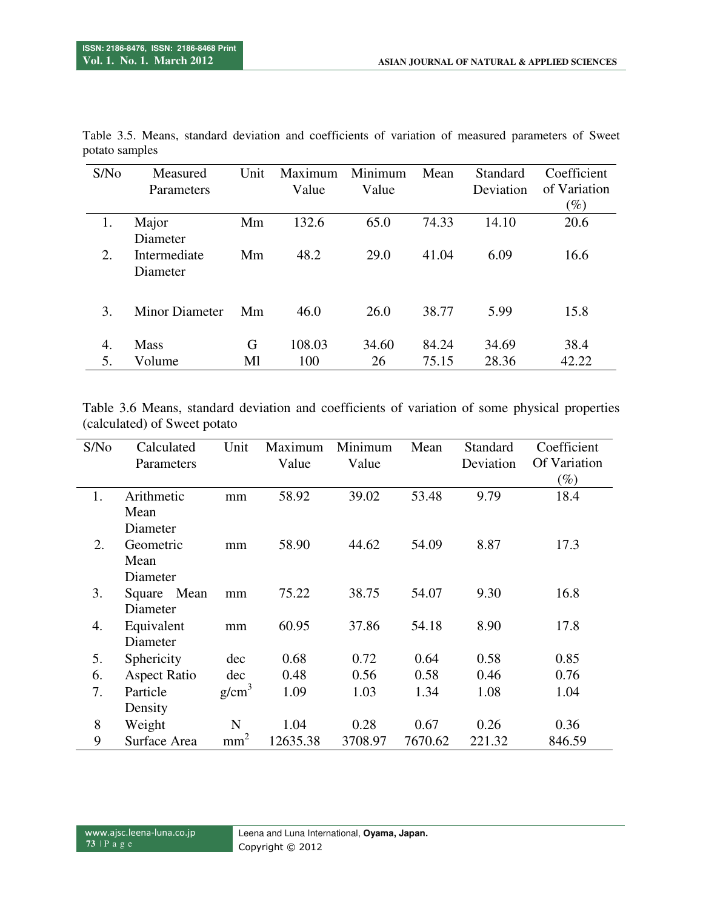| S/N <sub>0</sub> | Measured       | Unit | Maximum | Minimum | Mean  | Standard  | Coefficient  |
|------------------|----------------|------|---------|---------|-------|-----------|--------------|
|                  | Parameters     |      | Value   | Value   |       | Deviation | of Variation |
|                  |                |      |         |         |       |           | $(\%)$       |
| 1.               | Major          | Mm   | 132.6   | 65.0    | 74.33 | 14.10     | 20.6         |
|                  | Diameter       |      |         |         |       |           |              |
| 2.               | Intermediate   | Mm   | 48.2    | 29.0    | 41.04 | 6.09      | 16.6         |
|                  | Diameter       |      |         |         |       |           |              |
|                  |                |      |         |         |       |           |              |
| 3.               | Minor Diameter | Mm   | 46.0    | 26.0    | 38.77 | 5.99      | 15.8         |
|                  |                |      |         |         |       |           |              |
| 4.               | <b>Mass</b>    | G    | 108.03  | 34.60   | 84.24 | 34.69     | 38.4         |
| 5.               | Volume         | Ml   | 100     | 26      | 75.15 | 28.36     | 42.22        |

Table 3.5. Means, standard deviation and coefficients of variation of measured parameters of Sweet potato samples

Table 3.6 Means, standard deviation and coefficients of variation of some physical properties (calculated) of Sweet potato

| S/No | Calculated          | Unit              | Maximum  | Minimum | Mean    | Standard  | Coefficient  |
|------|---------------------|-------------------|----------|---------|---------|-----------|--------------|
|      | Parameters          |                   | Value    | Value   |         | Deviation | Of Variation |
|      |                     |                   |          |         |         |           | $(\%)$       |
| 1.   | Arithmetic          | mm                | 58.92    | 39.02   | 53.48   | 9.79      | 18.4         |
|      | Mean                |                   |          |         |         |           |              |
|      | Diameter            |                   |          |         |         |           |              |
| 2.   | Geometric           | mm                | 58.90    | 44.62   | 54.09   | 8.87      | 17.3         |
|      | Mean                |                   |          |         |         |           |              |
|      | Diameter            |                   |          |         |         |           |              |
| 3.   | Mean<br>Square      | mm                | 75.22    | 38.75   | 54.07   | 9.30      | 16.8         |
|      | Diameter            |                   |          |         |         |           |              |
| 4.   | Equivalent          | mm                | 60.95    | 37.86   | 54.18   | 8.90      | 17.8         |
|      | Diameter            |                   |          |         |         |           |              |
| 5.   | Sphericity          | dec               | 0.68     | 0.72    | 0.64    | 0.58      | 0.85         |
| 6.   | <b>Aspect Ratio</b> | dec               | 0.48     | 0.56    | 0.58    | 0.46      | 0.76         |
| 7.   | Particle            | g/cm <sup>3</sup> | 1.09     | 1.03    | 1.34    | 1.08      | 1.04         |
|      | Density             |                   |          |         |         |           |              |
| 8    | Weight              | N                 | 1.04     | 0.28    | 0.67    | 0.26      | 0.36         |
| 9    | Surface Area        | mm <sup>2</sup>   | 12635.38 | 3708.97 | 7670.62 | 221.32    | 846.59       |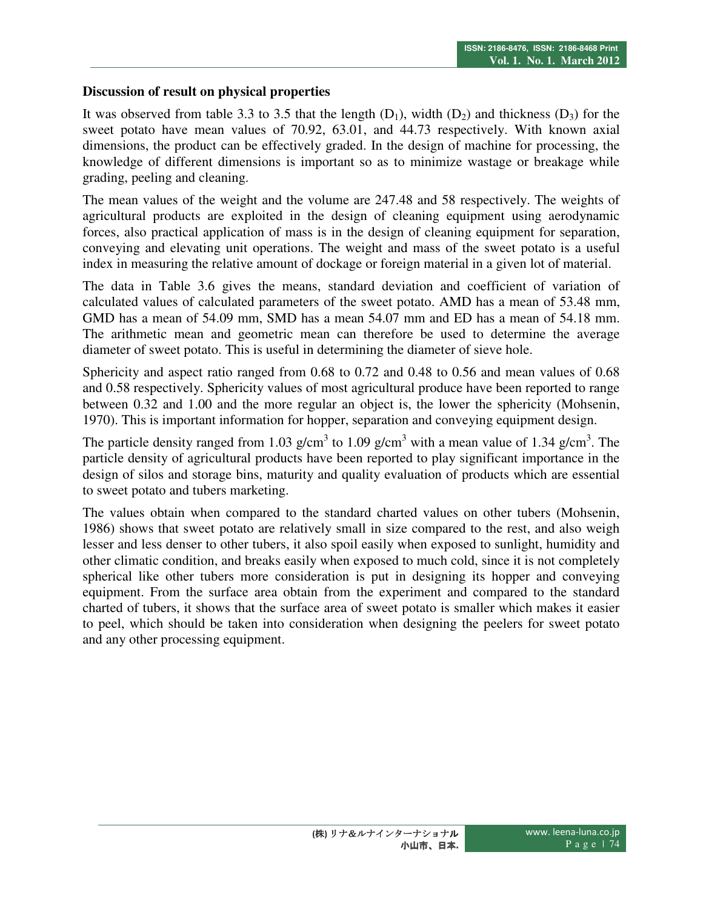### **Discussion of result on physical properties**

It was observed from table 3.3 to 3.5 that the length  $(D_1)$ , width  $(D_2)$  and thickness  $(D_3)$  for the sweet potato have mean values of 70.92, 63.01, and 44.73 respectively. With known axial dimensions, the product can be effectively graded. In the design of machine for processing, the knowledge of different dimensions is important so as to minimize wastage or breakage while grading, peeling and cleaning.

The mean values of the weight and the volume are 247.48 and 58 respectively. The weights of agricultural products are exploited in the design of cleaning equipment using aerodynamic forces, also practical application of mass is in the design of cleaning equipment for separation, conveying and elevating unit operations. The weight and mass of the sweet potato is a useful index in measuring the relative amount of dockage or foreign material in a given lot of material.

The data in Table 3.6 gives the means, standard deviation and coefficient of variation of calculated values of calculated parameters of the sweet potato. AMD has a mean of 53.48 mm, GMD has a mean of 54.09 mm, SMD has a mean 54.07 mm and ED has a mean of 54.18 mm. The arithmetic mean and geometric mean can therefore be used to determine the average diameter of sweet potato. This is useful in determining the diameter of sieve hole.

Sphericity and aspect ratio ranged from 0.68 to 0.72 and 0.48 to 0.56 and mean values of 0.68 and 0.58 respectively. Sphericity values of most agricultural produce have been reported to range between 0.32 and 1.00 and the more regular an object is, the lower the sphericity (Mohsenin, 1970). This is important information for hopper, separation and conveying equipment design.

The particle density ranged from 1.03 g/cm<sup>3</sup> to 1.09 g/cm<sup>3</sup> with a mean value of 1.34 g/cm<sup>3</sup>. The particle density of agricultural products have been reported to play significant importance in the design of silos and storage bins, maturity and quality evaluation of products which are essential to sweet potato and tubers marketing.

The values obtain when compared to the standard charted values on other tubers (Mohsenin, 1986) shows that sweet potato are relatively small in size compared to the rest, and also weigh lesser and less denser to other tubers, it also spoil easily when exposed to sunlight, humidity and other climatic condition, and breaks easily when exposed to much cold, since it is not completely spherical like other tubers more consideration is put in designing its hopper and conveying equipment. From the surface area obtain from the experiment and compared to the standard charted of tubers, it shows that the surface area of sweet potato is smaller which makes it easier to peel, which should be taken into consideration when designing the peelers for sweet potato and any other processing equipment.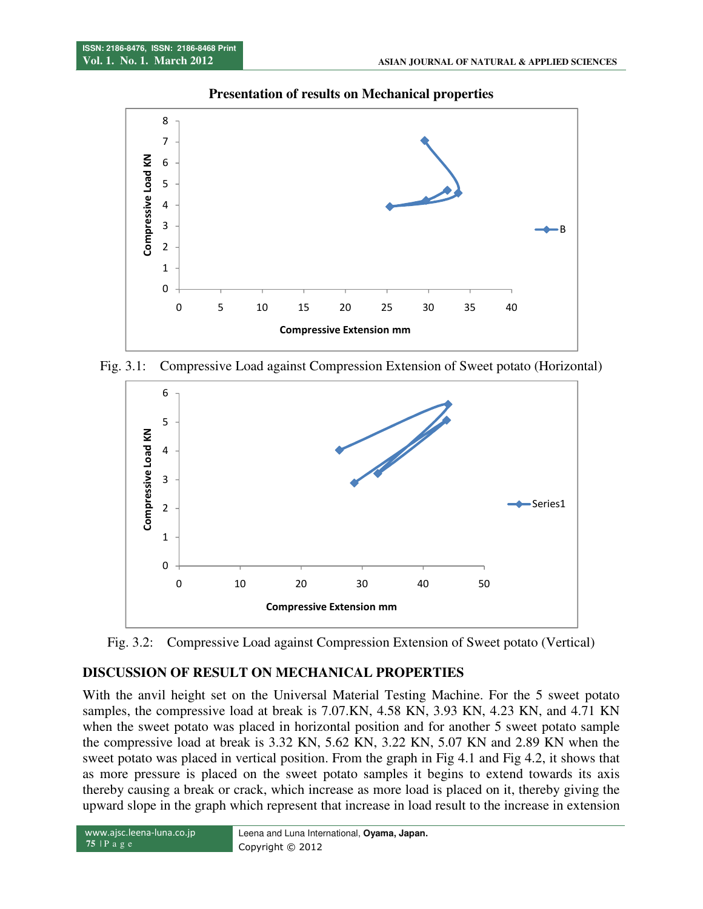

### **Presentation of results on Mechanical properties**

Fig. 3.1: Compressive Load against Compression Extension of Sweet potato (Horizontal)



Fig. 3.2: Compressive Load against Compression Extension of Sweet potato (Vertical)

# **DISCUSSION OF RESULT ON MECHANICAL PROPERTIES**

With the anvil height set on the Universal Material Testing Machine. For the 5 sweet potato samples, the compressive load at break is 7.07.KN, 4.58 KN, 3.93 KN, 4.23 KN, and 4.71 KN when the sweet potato was placed in horizontal position and for another 5 sweet potato sample the compressive load at break is 3.32 KN, 5.62 KN, 3.22 KN, 5.07 KN and 2.89 KN when the sweet potato was placed in vertical position. From the graph in Fig 4.1 and Fig 4.2, it shows that as more pressure is placed on the sweet potato samples it begins to extend towards its axis thereby causing a break or crack, which increase as more load is placed on it, thereby giving the upward slope in the graph which represent that increase in load result to the increase in extension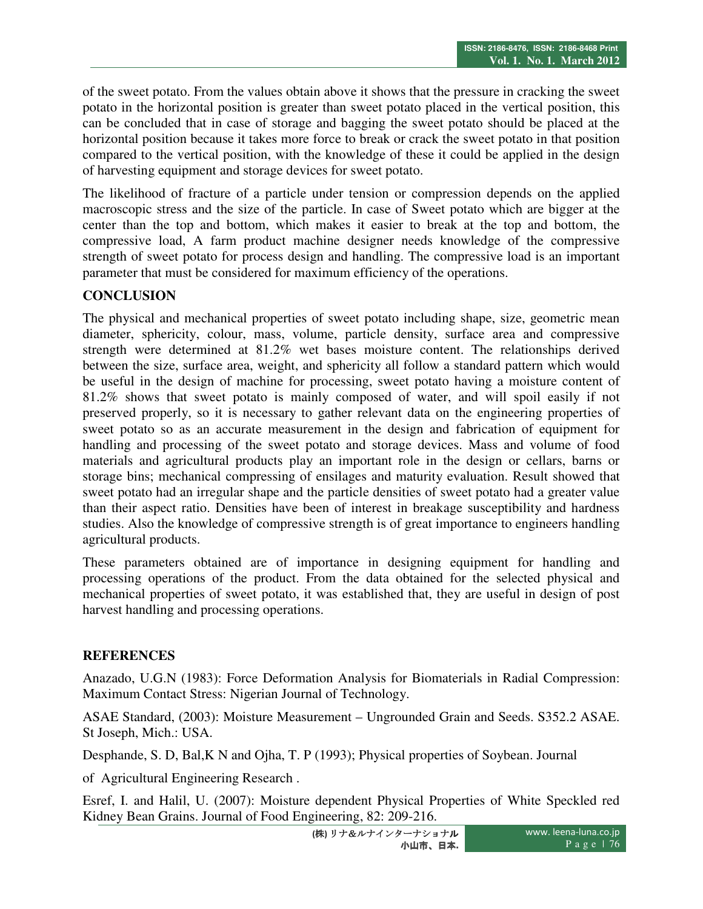of the sweet potato. From the values obtain above it shows that the pressure in cracking the sweet potato in the horizontal position is greater than sweet potato placed in the vertical position, this can be concluded that in case of storage and bagging the sweet potato should be placed at the horizontal position because it takes more force to break or crack the sweet potato in that position compared to the vertical position, with the knowledge of these it could be applied in the design of harvesting equipment and storage devices for sweet potato.

The likelihood of fracture of a particle under tension or compression depends on the applied macroscopic stress and the size of the particle. In case of Sweet potato which are bigger at the center than the top and bottom, which makes it easier to break at the top and bottom, the compressive load, A farm product machine designer needs knowledge of the compressive strength of sweet potato for process design and handling. The compressive load is an important parameter that must be considered for maximum efficiency of the operations.

# **CONCLUSION**

The physical and mechanical properties of sweet potato including shape, size, geometric mean diameter, sphericity, colour, mass, volume, particle density, surface area and compressive strength were determined at 81.2% wet bases moisture content. The relationships derived between the size, surface area, weight, and sphericity all follow a standard pattern which would be useful in the design of machine for processing, sweet potato having a moisture content of 81.2% shows that sweet potato is mainly composed of water, and will spoil easily if not preserved properly, so it is necessary to gather relevant data on the engineering properties of sweet potato so as an accurate measurement in the design and fabrication of equipment for handling and processing of the sweet potato and storage devices. Mass and volume of food materials and agricultural products play an important role in the design or cellars, barns or storage bins; mechanical compressing of ensilages and maturity evaluation. Result showed that sweet potato had an irregular shape and the particle densities of sweet potato had a greater value than their aspect ratio. Densities have been of interest in breakage susceptibility and hardness studies. Also the knowledge of compressive strength is of great importance to engineers handling agricultural products.

These parameters obtained are of importance in designing equipment for handling and processing operations of the product. From the data obtained for the selected physical and mechanical properties of sweet potato, it was established that, they are useful in design of post harvest handling and processing operations.

#### **REFERENCES**

Anazado, U.G.N (1983): Force Deformation Analysis for Biomaterials in Radial Compression: Maximum Contact Stress: Nigerian Journal of Technology.

ASAE Standard, (2003): Moisture Measurement – Ungrounded Grain and Seeds. S352.2 ASAE. St Joseph, Mich.: USA.

Desphande, S. D, Bal,K N and Ojha, T. P (1993); Physical properties of Soybean. Journal

of Agricultural Engineering Research .

Esref, I. and Halil, U. (2007): Moisture dependent Physical Properties of White Speckled red Kidney Bean Grains. Journal of Food Engineering, 82: 209-216.